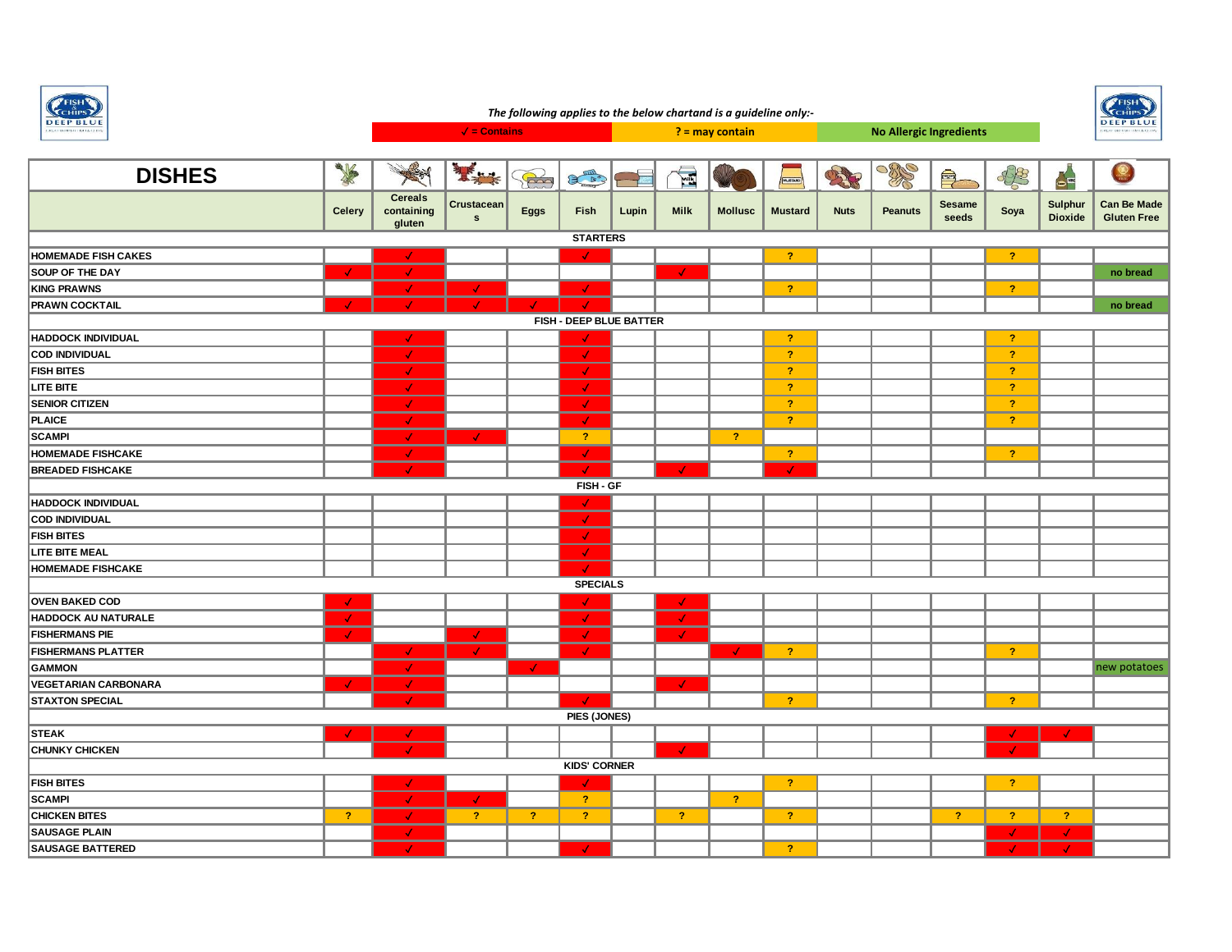

## **FISH** *The following applies to the below chartand is a guideline only:-*Сенів. **DEEP BLUE** ✓ **= Contains ? = may contain No Allergic Ingredients** R **DISHES** 一 美 \$8 其实学  $\widetilde{\mathbb{R}}$  $\left( \begin{array}{cc} \mathbb{R}^n & \mathbb{R}^n \ \mathbb{R}^n & \mathbb{R}^n \end{array} \right)$ E  $\bigoplus$ OS RE  $-1$  $\bullet^{\Xi}$ **Cereals Can Be Made Crustacean Eggs Fish Lupin Milk Mollusc Mustard Nuts Peanuts Sesame seeds Soya Sulphur Dioxide Celery containing s Gluten Free gluten STARTERS HOMEMADE FISH CAKES** ✓ ✓ **? ? SOUP OF THE DAY** ✓ ✓ ✓ **no bread KING PRAWNS** ✓ ✓ ✓ **? ? PRAWN COCKTAIL** ✓ ✓ ✓ ✓ ✓ **no bread FISH - DEEP BLUE BATTER HADDOCK INDIVIDUAL** ✓ ✓ **? ? COD INDIVIDUAL** ✓ ✓ **? ? FISH BITES** ✓ ✓ **? ? LITE BITE** ✓ ✓ **? ? SENIOR CITIZEN** ✓ ✓ **? ? PLAICE** ✓ ✓ **? ? SCAMPI** ✓ ✓ **? ? HOMEMADE FISHCAKE** ✓ ✓ **? ? BREADED FISHCAKE** ✓ ✓ ✓ ✓ **FISH - GF HADDOCK INDIVIDUAL** ✓ **COD INDIVIDUAL** ✓ **FISH BITES** ✓ **LITE BITE MEAL** ✓ **HOMEMADE FISHCAKE** ✓ **SPECIALS OVEN BAKED COD** ✓ ✓ ✓ **HADDOCK AU NATURALE** ✓ ✓ ✓ **FISHERMANS PIE** ✓ ✓ ✓ ✓ **FISHERMANS PLATTER** ✓ ✓ ✓ ✓ **? ? GAMMON** ✓ ✓ new potatoes **VEGETARIAN CARBONARA** ✓ ✓ ✓ **STAXTON SPECIAL** ✓ ✓ **? ? PIES (JONES) STEAK** ✓ ✓ ✓ ✓ **CHUNKY CHICKEN** ✓ ✓ ✓ **KIDS' CORNER FISH BITES** ✓ ✓ **? ? SCAMPI** ✓ ✓ **? ? CHICKEN BITES ?** ✓ **? ? ? ? ? ? ? ? SAUSAGE PLAIN** ✓ ✓ ✓

**SAUSAGE BATTERED** ✓ ✓ **?** ✓ ✓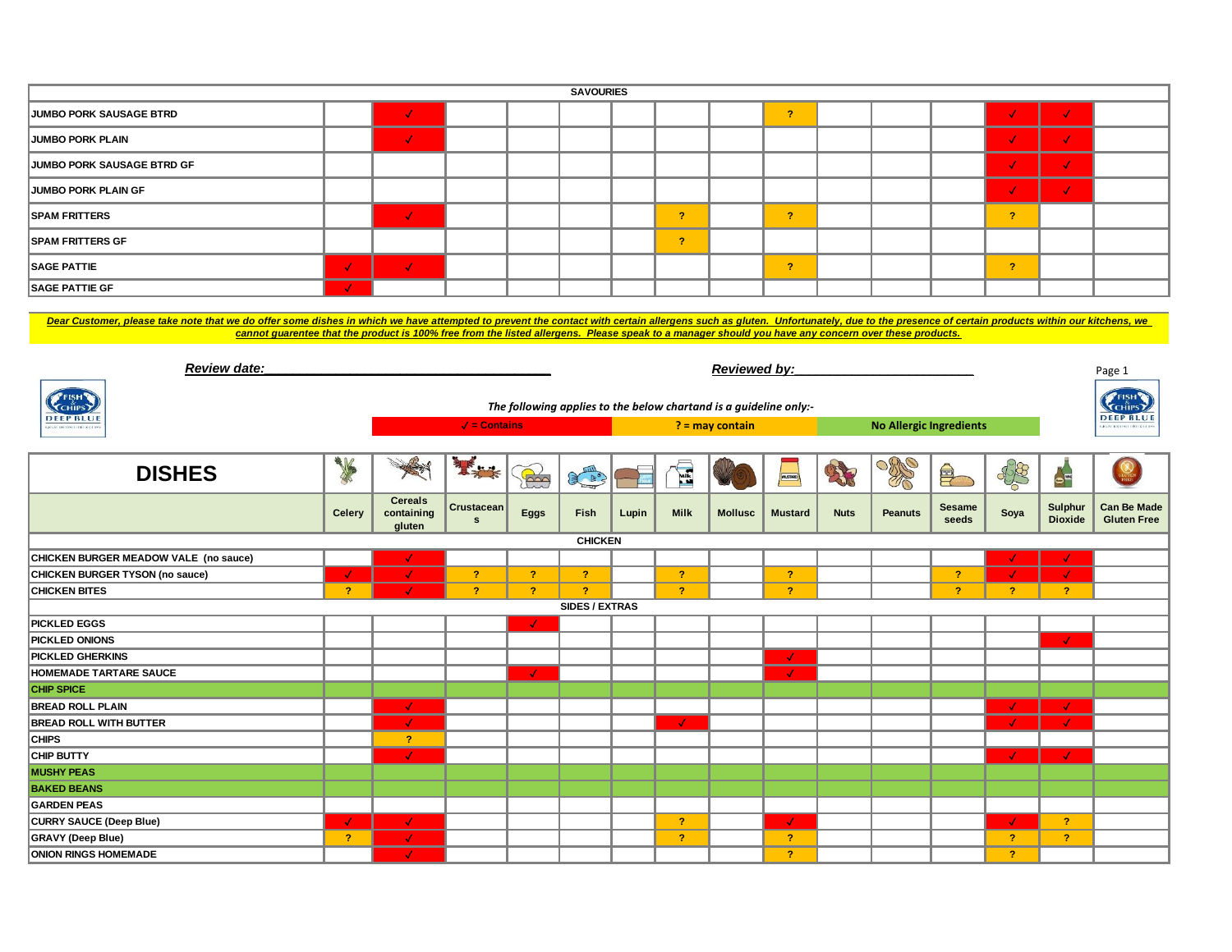| <b>SAVOURIES</b>               |  |  |  |  |  |  |           |  |               |  |  |  |        |  |
|--------------------------------|--|--|--|--|--|--|-----------|--|---------------|--|--|--|--------|--|
| <b>JUMBO PORK SAUSAGE BTRD</b> |  |  |  |  |  |  |           |  | $\bullet$     |  |  |  |        |  |
| JUMBO PORK PLAIN               |  |  |  |  |  |  |           |  |               |  |  |  |        |  |
| JUMBO PORK SAUSAGE BTRD GF     |  |  |  |  |  |  |           |  |               |  |  |  |        |  |
| <b>JUMBO PORK PLAIN GF</b>     |  |  |  |  |  |  |           |  |               |  |  |  |        |  |
| <b>SPAM FRITTERS</b>           |  |  |  |  |  |  | $\sim$    |  | $\mathcal{P}$ |  |  |  | $\sim$ |  |
| <b>SPAM FRITTERS GF</b>        |  |  |  |  |  |  | $\bullet$ |  |               |  |  |  |        |  |
| <b>SAGE PATTIE</b>             |  |  |  |  |  |  |           |  | $\mathbf{r}$  |  |  |  | $\sim$ |  |
| <b>SAGE PATTIE GF</b>          |  |  |  |  |  |  |           |  |               |  |  |  |        |  |

Dear Customer, please take note that we do offer some dishes in which we have attempted to prevent the contact with certain allergens such as gluten. Unfortunately, due to the presence of certain products within our kitche *cannot guarentee that the product is 100% free from the listed allergens. Please speak to a manager should you have any concern over these products.*

| <b>Review date:</b>                            |              | <b>Reviewed by:</b>                                               |                            |                   |                       |       |                |                |                                |             |                | Page 1                 |                |                                            |                                          |
|------------------------------------------------|--------------|-------------------------------------------------------------------|----------------------------|-------------------|-----------------------|-------|----------------|----------------|--------------------------------|-------------|----------------|------------------------|----------------|--------------------------------------------|------------------------------------------|
| <b>PFISH</b><br><b>CHIPS</b>                   |              | The following applies to the below chartand is a guideline only:- |                            |                   |                       |       |                |                |                                |             |                |                        |                |                                            | FISH'<br><b>CHIPS</b>                    |
| <b>DEEP BLUE</b><br>GREAT BRITISH LIBIT & CLIP |              | $\sqrt{\phantom{a}}$ = Contains                                   |                            | $? =$ may contain |                       |       |                |                | <b>No Allergic Ingredients</b> |             |                |                        |                | <b>DEEP BLUE</b><br>KLAT BRITISTI ISTLE CI |                                          |
| <b>DISHES</b>                                  | 大学           |                                                                   | 基本                         | B                 | EL                    |       | E              |                | MUSSARD                        |             | $\frac{1}{2}$  | 阜                      | 48             | $\bullet$                                  |                                          |
|                                                | Celery       | <b>Cereals</b><br>containing<br>gluten                            | Crustacean<br>$\mathbf{s}$ | Eggs              | Fish                  | Lupin | <b>Milk</b>    | <b>Mollusc</b> | <b>Mustard</b>                 | <b>Nuts</b> | <b>Peanuts</b> | <b>Sesame</b><br>seeds | Soya           | Sulphur<br><b>Dioxide</b>                  | <b>Can Be Made</b><br><b>Gluten Free</b> |
|                                                |              |                                                                   |                            |                   | <b>CHICKEN</b>        |       |                |                |                                |             |                |                        |                |                                            |                                          |
| CHICKEN BURGER MEADOW VALE (no sauce)          |              | √                                                                 |                            |                   |                       |       |                |                |                                |             |                |                        |                | √                                          |                                          |
| CHICKEN BURGER TYSON (no sauce)                |              |                                                                   | $\mathbf{r}$               | $\overline{?}$    | $\overline{?}$        |       | $\mathbf{P}$   |                | $\overline{?}$                 |             |                | $\overline{?}$         |                | $\mathcal{L}$                              |                                          |
| <b>CHICKEN BITES</b>                           | 2            |                                                                   | $\overline{?}$             | <sup>?</sup>      | $\overline{?}$        |       | $\mathcal{P}$  |                | -2.                            |             |                | -2                     | 2              | $\overline{?}$                             |                                          |
|                                                |              |                                                                   |                            |                   | <b>SIDES / EXTRAS</b> |       |                |                |                                |             |                |                        |                |                                            |                                          |
| <b>PICKLED EGGS</b>                            |              |                                                                   |                            | $\mathcal{L}$     |                       |       |                |                |                                |             |                |                        |                |                                            |                                          |
| <b>PICKLED ONIONS</b>                          |              |                                                                   |                            |                   |                       |       |                |                |                                |             |                |                        |                | $\mathcal{L}$                              |                                          |
| <b>PICKLED GHERKINS</b>                        |              |                                                                   |                            |                   |                       |       |                |                | $\mathcal{L}$                  |             |                |                        |                |                                            |                                          |
| <b>HOMEMADE TARTARE SAUCE</b>                  |              |                                                                   |                            | $\checkmark$      |                       |       |                |                | $\mathcal{A}$                  |             |                |                        |                |                                            |                                          |
| <b>CHIP SPICE</b>                              |              |                                                                   |                            |                   |                       |       |                |                |                                |             |                |                        |                |                                            |                                          |
| <b>BREAD ROLL PLAIN</b>                        |              | $\mathcal{L}$                                                     |                            |                   |                       |       |                |                |                                |             |                |                        | Æ              | $\mathcal{A}$                              |                                          |
| <b>BREAD ROLL WITH BUTTER</b>                  |              | 4                                                                 |                            |                   |                       |       | $\mathcal{L}$  |                |                                |             |                |                        | $\mathcal{L}$  | $\mathcal{L}$                              |                                          |
| <b>CHIPS</b>                                   |              | $\mathbf{r}$                                                      |                            |                   |                       |       |                |                |                                |             |                |                        |                |                                            |                                          |
| <b>CHIP BUTTY</b>                              |              | J.                                                                |                            |                   |                       |       |                |                |                                |             |                |                        | $\sqrt{ }$     | $\mathcal{L}$                              |                                          |
| <b>MUSHY PEAS</b>                              |              |                                                                   |                            |                   |                       |       |                |                |                                |             |                |                        |                |                                            |                                          |
| <b>BAKED BEANS</b>                             |              |                                                                   |                            |                   |                       |       |                |                |                                |             |                |                        |                |                                            |                                          |
| <b>GARDEN PEAS</b>                             |              |                                                                   |                            |                   |                       |       |                |                |                                |             |                |                        |                |                                            |                                          |
| <b>CURRY SAUCE (Deep Blue)</b>                 | √            | $\mathcal{L}$                                                     |                            |                   |                       |       | $\overline{?}$ |                | $\checkmark$                   |             |                |                        | Æ              | $\overline{?}$                             |                                          |
| <b>GRAVY</b> (Deep Blue)                       | $\mathbf{r}$ | J.                                                                |                            |                   |                       |       | $\overline{?}$ |                | -2.                            |             |                |                        | $\overline{?}$ | $\overline{?}$                             |                                          |
| <b>ONION RINGS HOMEMADE</b>                    |              | J.                                                                |                            |                   |                       |       |                |                | $\overline{2}$                 |             |                |                        | $\overline{2}$ |                                            |                                          |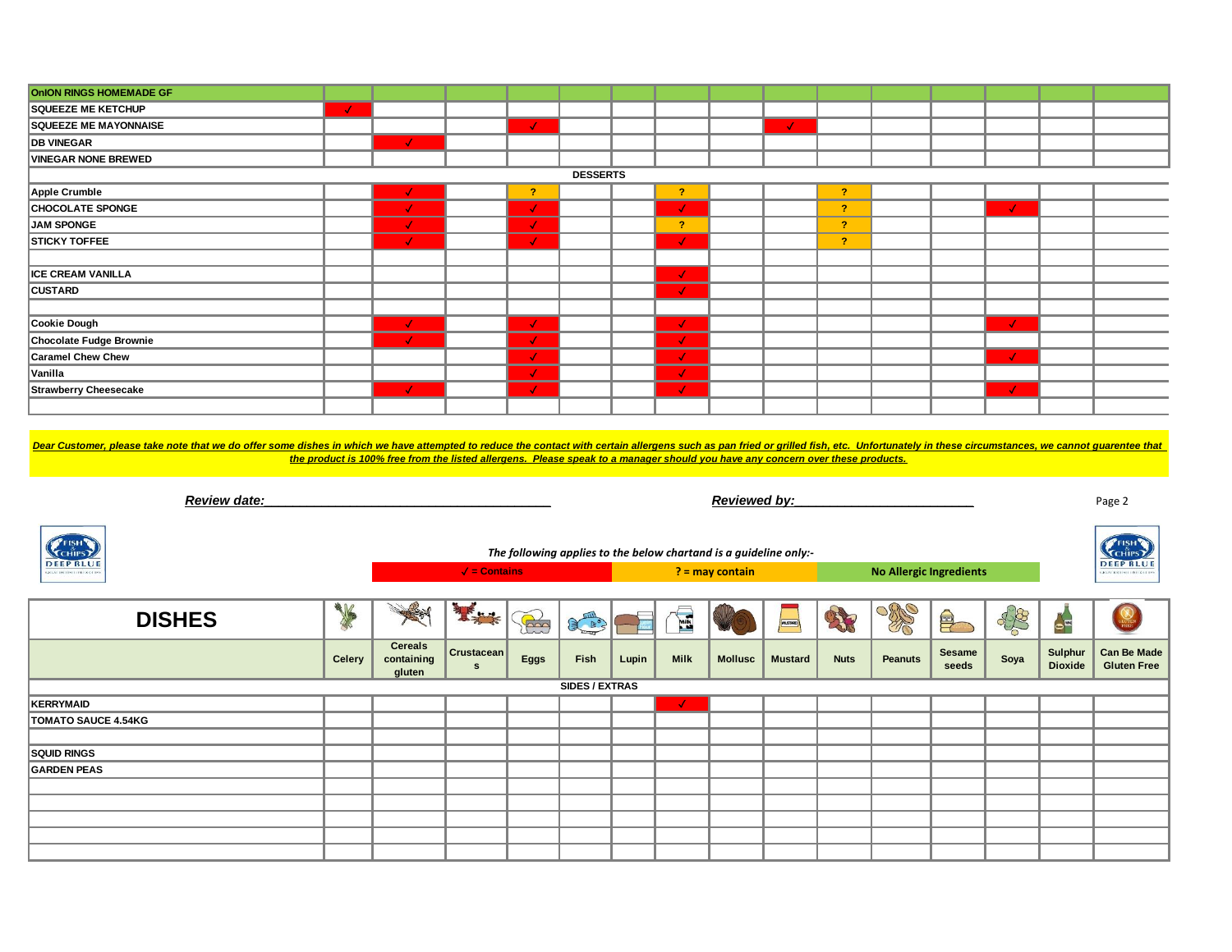| <b>OnION RINGS HOMEMADE GF</b>                                                                                                                                                                                                 |               |                                                                                                                                |                                 |                |                |       |                |                                                                   |                |                |                                |               |               |                        |                                   |
|--------------------------------------------------------------------------------------------------------------------------------------------------------------------------------------------------------------------------------|---------------|--------------------------------------------------------------------------------------------------------------------------------|---------------------------------|----------------|----------------|-------|----------------|-------------------------------------------------------------------|----------------|----------------|--------------------------------|---------------|---------------|------------------------|-----------------------------------|
| <b>SQUEEZE ME KETCHUP</b>                                                                                                                                                                                                      | $\mathcal{L}$ |                                                                                                                                |                                 |                |                |       |                |                                                                   |                |                |                                |               |               |                        |                                   |
| <b>SQUEEZE ME MAYONNAISE</b>                                                                                                                                                                                                   |               |                                                                                                                                |                                 | $\mathcal{F}$  |                |       |                |                                                                   | $\mathcal{L}$  |                |                                |               |               |                        |                                   |
| <b>DB VINEGAR</b>                                                                                                                                                                                                              |               |                                                                                                                                |                                 |                |                |       |                |                                                                   |                |                |                                |               |               |                        |                                   |
| <b>VINEGAR NONE BREWED</b>                                                                                                                                                                                                     |               |                                                                                                                                |                                 |                |                |       |                |                                                                   |                |                |                                |               |               |                        |                                   |
| <b>DESSERTS</b>                                                                                                                                                                                                                |               |                                                                                                                                |                                 |                |                |       |                |                                                                   |                |                |                                |               |               |                        |                                   |
| Apple Crumble                                                                                                                                                                                                                  |               |                                                                                                                                |                                 | $\overline{?}$ |                |       | $\overline{?}$ |                                                                   |                | $\overline{?}$ |                                |               |               |                        |                                   |
| <b>CHOCOLATE SPONGE</b>                                                                                                                                                                                                        |               | J.                                                                                                                             |                                 | $\mathcal{L}$  |                |       | $\mathcal{A}$  |                                                                   |                | $\overline{?}$ |                                |               | $\sqrt{2}$    |                        |                                   |
| JAM SPONGE                                                                                                                                                                                                                     |               | V.                                                                                                                             |                                 | $\mathcal{L}$  |                |       | $-2$           |                                                                   |                | $\overline{?}$ |                                |               |               |                        |                                   |
| <b>STICKY TOFFEE</b>                                                                                                                                                                                                           |               |                                                                                                                                |                                 | $\mathcal{L}$  |                |       | $\mathcal{A}$  |                                                                   |                | $\overline{?}$ |                                |               |               |                        |                                   |
|                                                                                                                                                                                                                                |               |                                                                                                                                |                                 |                |                |       |                |                                                                   |                |                |                                |               |               |                        |                                   |
| <b>ICE CREAM VANILLA</b>                                                                                                                                                                                                       |               |                                                                                                                                |                                 |                |                |       | Ø              |                                                                   |                |                |                                |               |               |                        |                                   |
| <b>CUSTARD</b>                                                                                                                                                                                                                 |               |                                                                                                                                |                                 |                |                |       |                |                                                                   |                |                |                                |               |               |                        |                                   |
|                                                                                                                                                                                                                                |               |                                                                                                                                |                                 |                |                |       |                |                                                                   |                |                |                                |               |               |                        |                                   |
| Cookie Dough                                                                                                                                                                                                                   |               | $\mathcal{L}$                                                                                                                  |                                 | $\mathcal{L}$  |                |       | $\mathcal{L}$  |                                                                   |                |                |                                |               | $\mathcal{L}$ |                        |                                   |
| Chocolate Fudge Brownie                                                                                                                                                                                                        |               |                                                                                                                                |                                 | $\checkmark$   |                |       | $\checkmark$   |                                                                   |                |                |                                |               |               |                        |                                   |
| <b>Caramel Chew Chew</b>                                                                                                                                                                                                       |               |                                                                                                                                |                                 | $\mathcal{L}$  |                |       | $\mathcal{L}$  |                                                                   |                |                |                                |               | J.            |                        |                                   |
| Vanilla                                                                                                                                                                                                                        |               |                                                                                                                                |                                 | $\mathcal{L}$  |                |       | $\mathcal{L}$  |                                                                   |                |                |                                |               |               |                        |                                   |
| <b>Strawberry Cheesecake</b>                                                                                                                                                                                                   |               | $\mathcal{F}$                                                                                                                  |                                 | $\sqrt{ }$     |                |       | $\mathcal{A}$  |                                                                   |                |                |                                |               | $\mathcal{L}$ |                        |                                   |
|                                                                                                                                                                                                                                |               |                                                                                                                                |                                 |                |                |       |                |                                                                   |                |                |                                |               |               |                        |                                   |
|                                                                                                                                                                                                                                |               |                                                                                                                                |                                 |                |                |       |                |                                                                   |                |                |                                |               |               |                        |                                   |
|                                                                                                                                                                                                                                |               |                                                                                                                                |                                 |                |                |       |                |                                                                   |                |                |                                |               |               |                        |                                   |
| Dear Customer, please take note that we do offer some dishes in which we have attempted to reduce the contact with certain allergens such as pan fried or grilled fish, etc. Unfortunately in these circumstances, we cannot g |               | the product is 100% free from the listed allergens. Please speak to a manager should you have any concern over these products. |                                 |                |                |       |                |                                                                   |                |                |                                |               |               |                        |                                   |
|                                                                                                                                                                                                                                |               |                                                                                                                                |                                 |                |                |       |                |                                                                   |                |                |                                |               |               |                        |                                   |
|                                                                                                                                                                                                                                |               |                                                                                                                                |                                 |                |                |       |                |                                                                   |                |                |                                |               |               |                        |                                   |
|                                                                                                                                                                                                                                |               |                                                                                                                                |                                 |                |                |       |                |                                                                   |                |                |                                |               |               |                        |                                   |
| Review date:                                                                                                                                                                                                                   |               |                                                                                                                                |                                 |                |                |       |                | Reviewed by:                                                      |                |                |                                |               |               |                        | Page 2                            |
|                                                                                                                                                                                                                                |               |                                                                                                                                |                                 |                |                |       |                |                                                                   |                |                |                                |               |               |                        |                                   |
|                                                                                                                                                                                                                                |               |                                                                                                                                |                                 |                |                |       |                |                                                                   |                |                |                                |               |               |                        |                                   |
| <b>CHIPS</b>                                                                                                                                                                                                                   |               |                                                                                                                                |                                 |                |                |       |                | The following applies to the below chartand is a guideline only:- |                |                |                                |               |               |                        | F <sub>EISH</sub><br><b>CHIPS</b> |
| <b>DEEP BLUE</b>                                                                                                                                                                                                               |               |                                                                                                                                | $\sqrt{\phantom{a}}$ = Contains |                |                |       |                |                                                                   |                |                |                                |               |               |                        | <b>DEEP BLUE</b>                  |
|                                                                                                                                                                                                                                |               |                                                                                                                                |                                 |                |                |       |                | ? = may contain                                                   |                |                | <b>No Allergic Ingredients</b> |               |               |                        |                                   |
|                                                                                                                                                                                                                                |               |                                                                                                                                |                                 |                |                |       |                |                                                                   |                |                |                                |               |               |                        |                                   |
|                                                                                                                                                                                                                                | 一             |                                                                                                                                | 基本                              |                |                |       |                |                                                                   |                |                |                                |               |               |                        |                                   |
| <b>DISHES</b>                                                                                                                                                                                                                  |               |                                                                                                                                |                                 | B              | RAY            |       | E              |                                                                   |                |                | X                              | 阜             | 88            | $\bullet^{\mathbb{R}}$ |                                   |
|                                                                                                                                                                                                                                |               | <b>Cereals</b>                                                                                                                 | Crustacean                      |                |                |       |                |                                                                   |                |                |                                | <b>Sesame</b> |               | Sulphur                | <b>Can Be Made</b>                |
|                                                                                                                                                                                                                                | <b>Celery</b> | containing<br>gluten                                                                                                           | $\mathbf s$                     | <b>Eggs</b>    | Fish           | Lupin | <b>Milk</b>    | <b>Mollusc</b>                                                    | <b>Mustard</b> | <b>Nuts</b>    | <b>Peanuts</b>                 | seeds         | Soya          | <b>Dioxide</b>         | <b>Gluten Free</b>                |
|                                                                                                                                                                                                                                |               |                                                                                                                                |                                 |                | SIDES / EXTRAS |       |                |                                                                   |                |                |                                |               |               |                        |                                   |
| KERRYMAID                                                                                                                                                                                                                      |               |                                                                                                                                |                                 |                |                |       |                |                                                                   |                |                |                                |               |               |                        |                                   |
| <b>TOMATO SAUCE 4.54KG</b>                                                                                                                                                                                                     |               |                                                                                                                                |                                 |                |                |       |                |                                                                   |                |                |                                |               |               |                        |                                   |
|                                                                                                                                                                                                                                |               |                                                                                                                                |                                 |                |                |       |                |                                                                   |                |                |                                |               |               |                        |                                   |
| <b>SQUID RINGS</b>                                                                                                                                                                                                             |               |                                                                                                                                |                                 |                |                |       |                |                                                                   |                |                |                                |               |               |                        |                                   |
| <b>GARDEN PEAS</b>                                                                                                                                                                                                             |               |                                                                                                                                |                                 |                |                |       |                |                                                                   |                |                |                                |               |               |                        |                                   |
|                                                                                                                                                                                                                                |               |                                                                                                                                |                                 |                |                |       |                |                                                                   |                |                |                                |               |               |                        |                                   |
|                                                                                                                                                                                                                                |               |                                                                                                                                |                                 |                |                |       |                |                                                                   |                |                |                                |               |               |                        |                                   |
|                                                                                                                                                                                                                                |               |                                                                                                                                |                                 |                |                |       |                |                                                                   |                |                |                                |               |               |                        |                                   |
|                                                                                                                                                                                                                                |               |                                                                                                                                |                                 |                |                |       |                |                                                                   |                |                |                                |               |               |                        |                                   |
|                                                                                                                                                                                                                                |               |                                                                                                                                |                                 |                |                |       |                |                                                                   |                |                |                                |               |               |                        |                                   |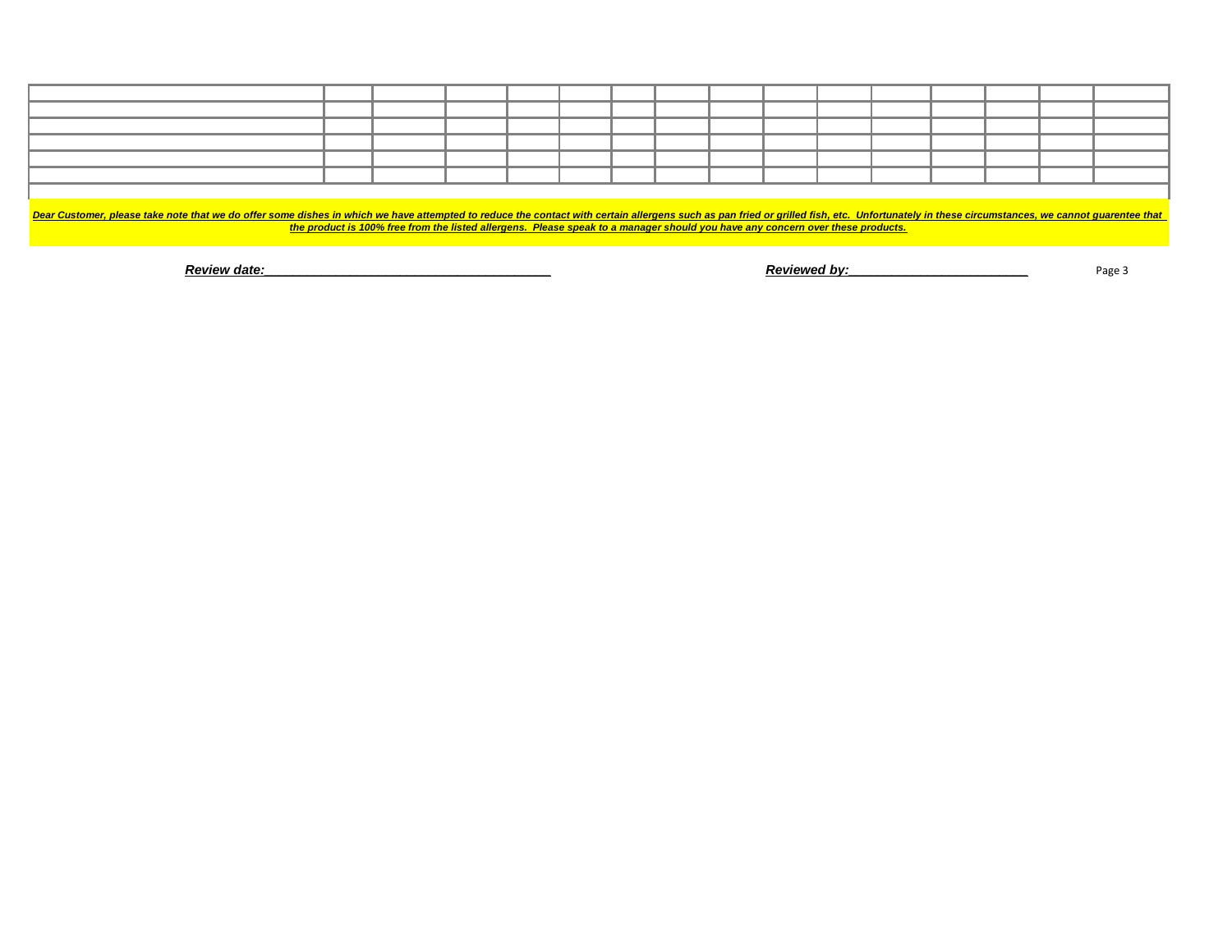Dear Customer, please take note that we do offer some dishes in which we have attempted to reduce the contact with certain allergens such as pan fried or grilled fish, etc. Unfortunately in these circumstances, we cannot q *the product is 100% free from the listed allergens. Please speak to a manager should you have any concern over these products.*

**Product a Review date:**<br>Review date: **Reviewed by:** 

Page 3